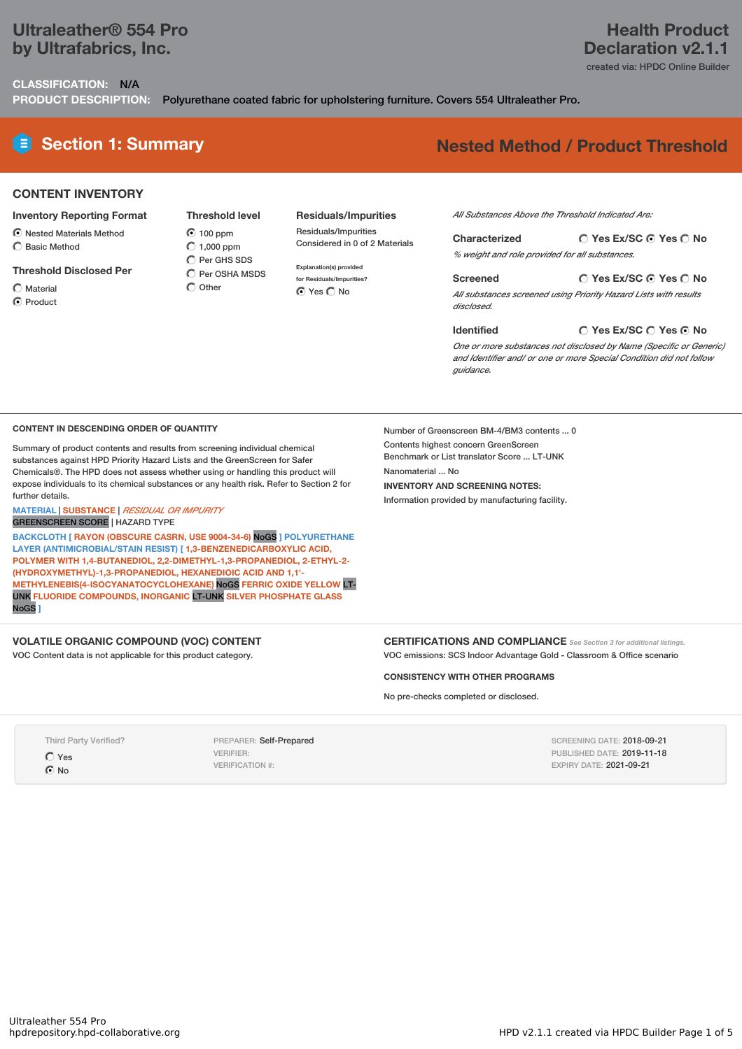## **Ultraleather® 554 Pro by Ultrafabrics, Inc.**

## **Health Product Declaration v2.1.1**

created via: HPDC Online Builder

**CLASSIFICATION:** N/A **PRODUCT DESCRIPTION:** Polyurethane coated fabric for upholstering furniture. Covers 554 Ultraleather Pro.

# **Section 1: Summary Nested Method / Product Threshold**

## **CONTENT INVENTORY**

- **Inventory Reporting Format**
- $\odot$  Nested Materials Method
- Basic Method
- **Threshold Disclosed Per**
- $\bigcap$  Material
- C Product

100 ppm  $\bigcirc$  1,000 ppm C Per GHS SDS  $\bigcirc$  Per OSHA MSDS  $\bigcap$  Other

**Threshold level**

**Residuals/Impurities** Residuals/Impurities Considered in 0 of 2 Materials

**Explanation(s) provided for Residuals/Impurities?** ⊙ Yes O No

*All Substances Above the Threshold Indicated Are:*

**Yes Ex/SC Yes No Characterized** *% weight and role provided for all substances.*

**Yes Ex/SC Yes No Screened** *All substances screened using Priority Hazard Lists with results disclosed.*

**Yes Ex/SC Yes No Identified** *One or more substances not disclosed by Name (Specific or Generic) and Identifier and/ or one or more Special Condition did not follow guidance.*

#### **CONTENT IN DESCENDING ORDER OF QUANTITY**

Summary of product contents and results from screening individual chemical substances against HPD Priority Hazard Lists and the GreenScreen for Safer Chemicals®. The HPD does not assess whether using or handling this product will expose individuals to its chemical substances or any health risk. Refer to Section 2 for further details.

#### **MATERIAL** | **SUBSTANCE** | *RESIDUAL OR IMPURITY* GREENSCREEN SCORE | HAZARD TYPE

**BACKCLOTH [ RAYON (OBSCURE CASRN, USE 9004-34-6)** NoGS **] POLYURETHANE LAYER (ANTIMICROBIAL/STAIN RESIST) [ 1,3-BENZENEDICARBOXYLIC ACID, POLYMER WITH 1,4-BUTANEDIOL, 2,2-DIMETHYL-1,3-PROPANEDIOL, 2-ETHYL-2- (HYDROXYMETHYL)-1,3-PROPANEDIOL, HEXANEDIOIC ACID AND 1,1'- METHYLENEBIS(4-ISOCYANATOCYCLOHEXANE)** NoGS **FERRIC OXIDE YELLOW** LT-UNK **FLUORIDE COMPOUNDS, INORGANIC** LT-UNK **SILVER PHOSPHATE GLASS** NoGS **]**

### **VOLATILE ORGANIC COMPOUND (VOC) CONTENT**

VOC Content data is not applicable for this product category.

Number of Greenscreen BM-4/BM3 contents ... 0 Contents highest concern GreenScreen Benchmark or List translator Score ... LT-UNK Nanomaterial ... No **INVENTORY AND SCREENING NOTES:**

Information provided by manufacturing facility.

**CERTIFICATIONS AND COMPLIANCE** *See Section <sup>3</sup> for additional listings.* VOC emissions: SCS Indoor Advantage Gold - Classroom & Office scenario

#### **CONSISTENCY WITH OTHER PROGRAMS**

No pre-checks completed or disclosed.

Third Party Verified?

Yes  $\odot$  No

PREPARER: Self-Prepared VERIFIER: VERIFICATION #:

SCREENING DATE: 2018-09-21 PUBLISHED DATE: 2019-11-18 EXPIRY DATE: 2021-09-21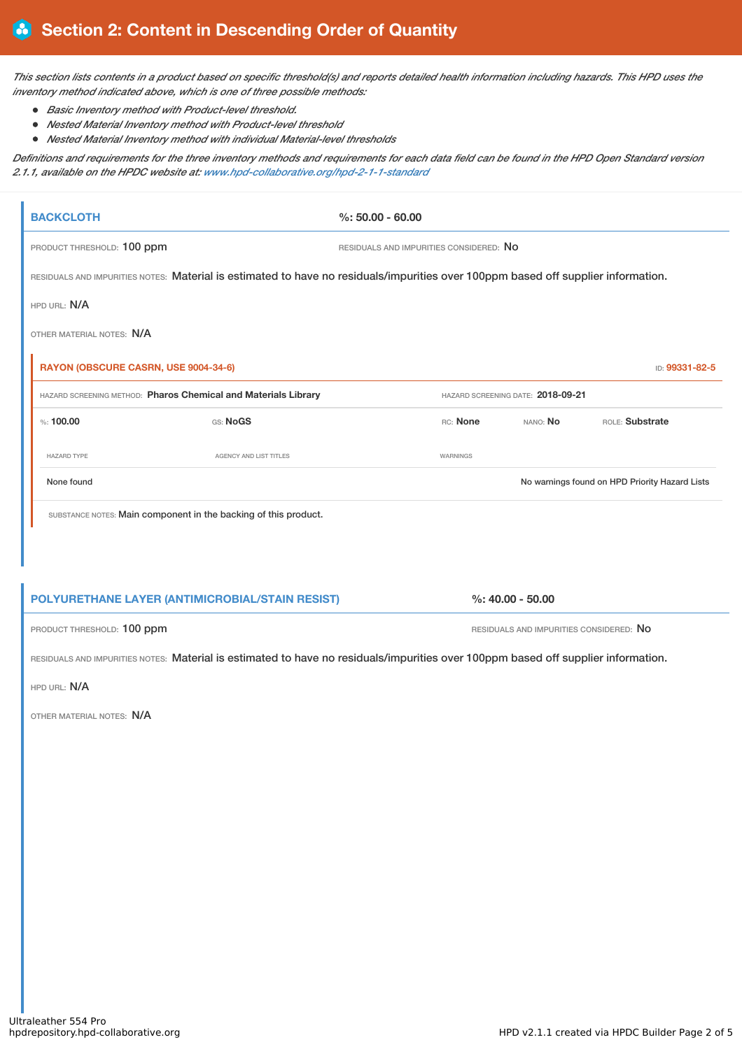This section lists contents in a product based on specific threshold(s) and reports detailed health information including hazards. This HPD uses the *inventory method indicated above, which is one of three possible methods:*

- *Basic Inventory method with Product-level threshold.*
- *Nested Material Inventory method with Product-level threshold*
- *Nested Material Inventory method with individual Material-level thresholds*

Definitions and requirements for the three inventory methods and requirements for each data field can be found in the HPD Open Standard version *2.1.1, available on the HPDC website at: www.hpd-collaborative.org/hpd-2-1-1-standard*

| <b>BACKCLOTH</b>          |                                                                                                                                   | $\%$ : 50.00 - 60.00                    |                                   |                                                |  |
|---------------------------|-----------------------------------------------------------------------------------------------------------------------------------|-----------------------------------------|-----------------------------------|------------------------------------------------|--|
|                           | PRODUCT THRESHOLD: 100 ppm                                                                                                        | RESIDUALS AND IMPURITIES CONSIDERED: NO |                                   |                                                |  |
|                           | RESIDUALS AND IMPURITIES NOTES: Material is estimated to have no residuals/impurities over 100ppm based off supplier information. |                                         |                                   |                                                |  |
| HPD URL: N/A              |                                                                                                                                   |                                         |                                   |                                                |  |
| OTHER MATERIAL NOTES: N/A |                                                                                                                                   |                                         |                                   |                                                |  |
|                           | RAYON (OBSCURE CASRN, USE 9004-34-6)                                                                                              |                                         |                                   | ID: 99331-82-5                                 |  |
|                           | HAZARD SCREENING METHOD: Pharos Chemical and Materials Library                                                                    |                                         | HAZARD SCREENING DATE: 2018-09-21 |                                                |  |
| %: 100.00                 | GS: NoGS                                                                                                                          | <b>RC:</b> None                         | NANO: No                          | <b>BOLE:</b> Substrate                         |  |
| <b>HAZARD TYPE</b>        | <b>AGENCY AND LIST TITLES</b>                                                                                                     | WARNINGS                                |                                   |                                                |  |
| None found                |                                                                                                                                   |                                         |                                   | No warnings found on HPD Priority Hazard Lists |  |
|                           | SUBSTANCE NOTES: Main component in the backing of this product.                                                                   |                                         |                                   |                                                |  |

### **POLYURETHANE LAYER (ANTIMICROBIAL/STAIN RESIST) %: 40.00 - 50.00**

PRODUCT THRESHOLD: 100 ppm **RESIDUALS AND IMPURITIES CONSIDERED:** No

RESIDUALS AND IMPURITIES NOTES: Material is estimated to have no residuals/impurities over 100ppm based off supplier information.

HPD URL: N/A

OTHER MATERIAL NOTES: N/A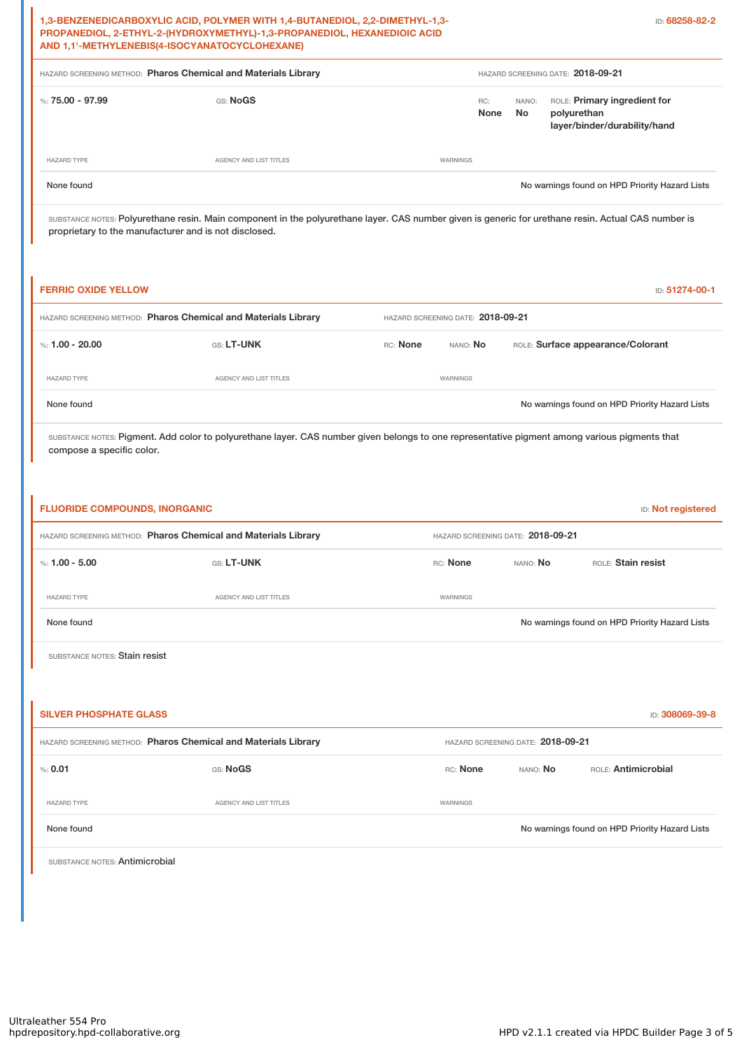### **1,3-BENZENEDICARBOXYLIC ACID, POLYMER WITH 1,4-BUTANEDIOL, 2,2-DIMETHYL-1,3- PROPANEDIOL, 2-ETHYL-2-(HYDROXYMETHYL)-1,3-PROPANEDIOL, HEXANEDIOIC ACID AND 1,1'-METHYLENEBIS(4-ISOCYANATOCYCLOHEXANE)**

| HAZARD SCREENING METHOD: Pharos Chemical and Materials Library |                        |          | HAZARD SCREENING DATE: 2018-09-21 |              |                                                                             |  |
|----------------------------------------------------------------|------------------------|----------|-----------------------------------|--------------|-----------------------------------------------------------------------------|--|
| %: 75.00 - 97.99                                               | GS: NoGS               |          | RC:<br>None                       | NANO:<br>No. | ROLE: Primary ingredient for<br>polyurethan<br>layer/binder/durability/hand |  |
| <b>HAZARD TYPE</b>                                             | AGENCY AND LIST TITLES | WARNINGS |                                   |              |                                                                             |  |
| None found                                                     |                        |          |                                   |              | No warnings found on HPD Priority Hazard Lists                              |  |

SUBSTANCE NOTES: Polyurethane resin. Main component in the polyurethane layer. CAS number given is generic for urethane resin. Actual CAS number is proprietary to the manufacturer and is not disclosed.

| <b>FERRIC OXIDE YELLOW</b>                                                                                                                                                 |                               |                                   |                                   |          | ID: 51274-00-1                    |  |
|----------------------------------------------------------------------------------------------------------------------------------------------------------------------------|-------------------------------|-----------------------------------|-----------------------------------|----------|-----------------------------------|--|
| HAZARD SCREENING METHOD: Pharos Chemical and Materials Library                                                                                                             |                               | HAZARD SCREENING DATE: 2018-09-21 |                                   |          |                                   |  |
| %: $1.00 - 20.00$                                                                                                                                                          | GS: LT-UNK                    | RC: None                          | NANO: No                          |          | ROLE: Surface appearance/Colorant |  |
| <b>HAZARD TYPE</b>                                                                                                                                                         | AGENCY AND LIST TITLES        |                                   | WARNINGS                          |          |                                   |  |
| No warnings found on HPD Priority Hazard Lists<br>None found                                                                                                               |                               |                                   |                                   |          |                                   |  |
| SUBSTANCE NOTES: Pigment. Add color to polyurethane layer. CAS number given belongs to one representative pigment among various pigments that<br>compose a specific color. |                               |                                   |                                   |          |                                   |  |
|                                                                                                                                                                            |                               |                                   |                                   |          |                                   |  |
| <b>FLUORIDE COMPOUNDS, INORGANIC</b>                                                                                                                                       |                               |                                   |                                   |          | ID: Not registered                |  |
| HAZARD SCREENING METHOD: Pharos Chemical and Materials Library                                                                                                             |                               |                                   | HAZARD SCREENING DATE: 2018-09-21 |          |                                   |  |
| %: $1.00 - 5.00$                                                                                                                                                           | GS: LT-UNK                    |                                   | RC: None                          | NANO: No | ROLE: Stain resist                |  |
| <b>HAZARD TYPE</b>                                                                                                                                                         | AGENCY AND LIST TITLES        |                                   | WARNINGS                          |          |                                   |  |
| None found<br>No warnings found on HPD Priority Hazard Lists                                                                                                               |                               |                                   |                                   |          |                                   |  |
| SUBSTANCE NOTES: Stain resist                                                                                                                                              |                               |                                   |                                   |          |                                   |  |
|                                                                                                                                                                            |                               |                                   |                                   |          |                                   |  |
| <b>SILVER PHOSPHATE GLASS</b>                                                                                                                                              |                               |                                   |                                   |          | ID: 308069-39-8                   |  |
| HAZARD SCREENING METHOD: Pharos Chemical and Materials Library                                                                                                             |                               |                                   | HAZARD SCREENING DATE: 2018-09-21 |          |                                   |  |
| % 0.01                                                                                                                                                                     | GS: NoGS                      |                                   | RC: None                          | NANO: No | ROLE: Antimicrobial               |  |
| <b>HAZARD TYPE</b>                                                                                                                                                         | <b>AGENCY AND LIST TITLES</b> |                                   | WARNINGS                          |          |                                   |  |
| No warnings found on HPD Priority Hazard Lists<br>None found                                                                                                               |                               |                                   |                                   |          |                                   |  |
| SUBSTANCE NOTES: Antimicrobial                                                                                                                                             |                               |                                   |                                   |          |                                   |  |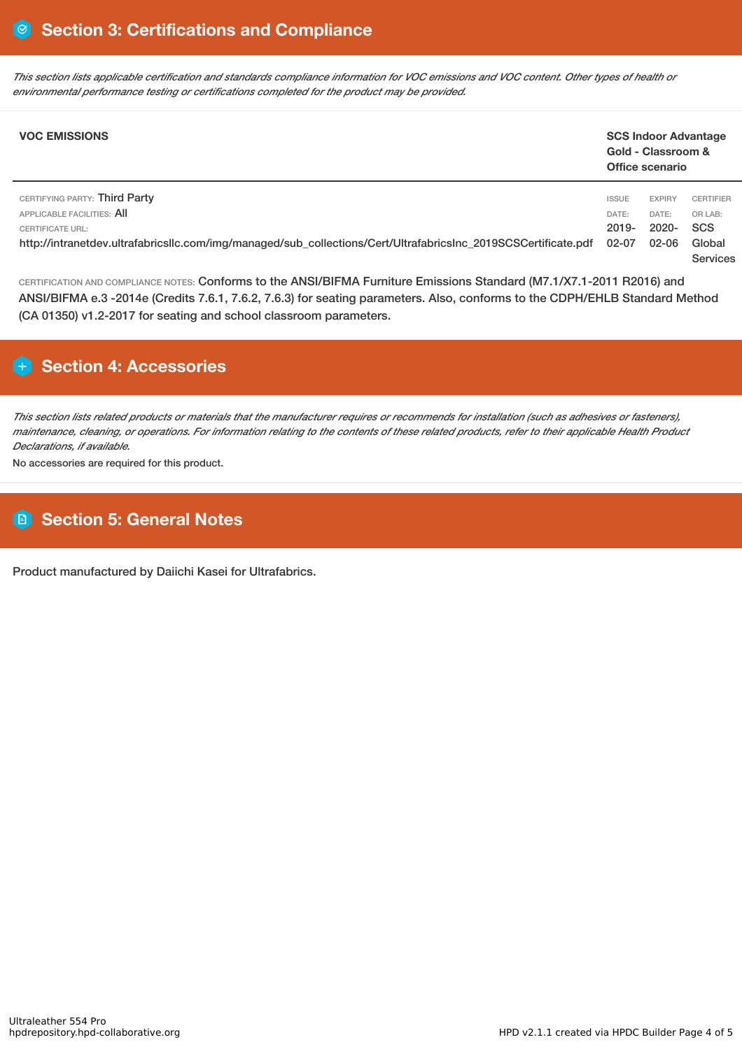This section lists applicable certification and standards compliance information for VOC emissions and VOC content. Other types of health or *environmental performance testing or certifications completed for the product may be provided.*

| <b>VOC EMISSIONS</b>                                                                                                                                                                                     |                                            |                                                 | <b>SCS Indoor Advantage</b><br>Gold - Classroom &<br>Office scenario   |  |  |
|----------------------------------------------------------------------------------------------------------------------------------------------------------------------------------------------------------|--------------------------------------------|-------------------------------------------------|------------------------------------------------------------------------|--|--|
| CERTIFYING PARTY: Third Party<br>APPLICABLE FACILITIES: AII<br><b>CERTIFICATE URL:</b><br>http://intranetdev.ultrafabricsllc.com/img/managed/sub_collections/Cert/Ultrafabricslnc_2019SCSCertificate.pdf | <b>ISSUE</b><br>DATE:<br>$2019 -$<br>02-07 | <b>EXPIRY</b><br>DATE:<br>$2020 -$<br>$02 - 06$ | <b>CERTIFIER</b><br>OR LAB:<br><b>SCS</b><br>Global<br><b>Services</b> |  |  |

CERTIFICATION AND COMPLIANCE NOTES: Conforms to the ANSI/BIFMA Furniture Emissions Standard (M7.1/X7.1-2011 R2016) and ANSI/BIFMA e.3 -2014e (Credits 7.6.1, 7.6.2, 7.6.3) for seating parameters. Also, conforms to the CDPH/EHLB Standard Method (CA 01350) v1.2-2017 for seating and school classroom parameters.

## **Section 4: Accessories**

This section lists related products or materials that the manufacturer requires or recommends for installation (such as adhesives or fasteners), maintenance, cleaning, or operations. For information relating to the contents of these related products, refer to their applicable Health Product *Declarations, if available.*

No accessories are required for this product.

## **Section 5: General Notes**

Product manufactured by Daiichi Kasei for Ultrafabrics.